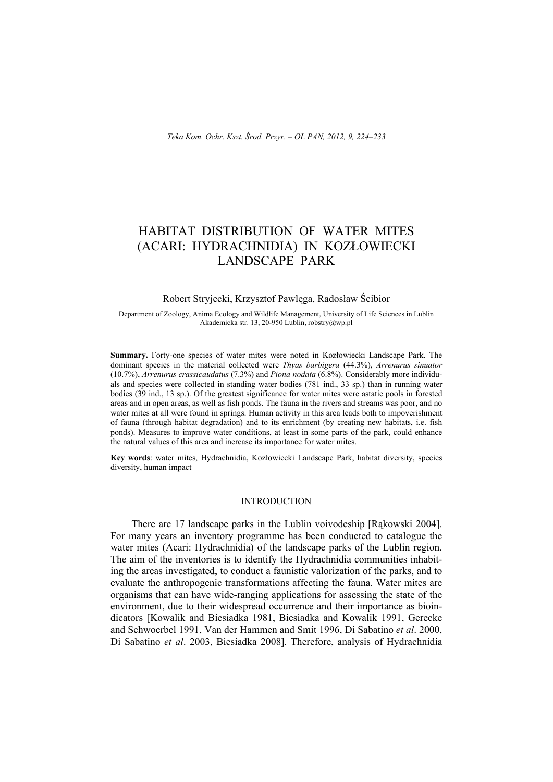# HABITAT DISTRIBUTION OF WATER MITES (ACARI: HYDRACHNIDIA) IN KOZŁOWIECKI LANDSCAPE PARK

## Robert Stryjecki, Krzysztof Pawlęga, Radosław Ścibior

Department of Zoology, Anima Ecology and Wildlife Management, University of Life Sciences in Lublin Akademicka str. 13, 20-950 Lublin, [robstry@wp.pl](mailto:robstry@wp.pl) 

**Summary.** Forty-one species of water mites were noted in Kozłowiecki Landscape Park. The dominant species in the material collected were *Thyas barbigera* (44.3%), *Arrenurus sinuator*  (10.7%), *Arrenurus crassicaudatus* (7.3%) and *Piona nodata* (6.8%). Considerably more individuals and species were collected in standing water bodies (781 ind., 33 sp.) than in running water bodies (39 ind., 13 sp.). Of the greatest significance for water mites were astatic pools in forested areas and in open areas, as well as fish ponds. The fauna in the rivers and streams was poor, and no water mites at all were found in springs. Human activity in this area leads both to impoverishment of fauna (through habitat degradation) and to its enrichment (by creating new habitats, i.e. fish ponds). Measures to improve water conditions, at least in some parts of the park, could enhance the natural values of this area and increase its importance for water mites.

**Key words**: water mites, Hydrachnidia, Kozłowiecki Landscape Park, habitat diversity, species diversity, human impact

### INTRODUCTION

There are 17 landscape parks in the Lublin voivodeship [Rąkowski 2004]. For many years an inventory programme has been conducted to catalogue the water mites (Acari: Hydrachnidia) of the landscape parks of the Lublin region. The aim of the inventories is to identify the Hydrachnidia communities inhabiting the areas investigated, to conduct a faunistic valorization of the parks, and to evaluate the anthropogenic transformations affecting the fauna. Water mites are organisms that can have wide-ranging applications for assessing the state of the environment, due to their widespread occurrence and their importance as bioindicators [Kowalik and Biesiadka 1981, Biesiadka and Kowalik 1991, Gerecke and Schwoerbel 1991, Van der Hammen and Smit 1996, Di Sabatino *et al*. 2000, Di Sabatino *et al*. 2003, Biesiadka 2008]. Therefore, analysis of Hydrachnidia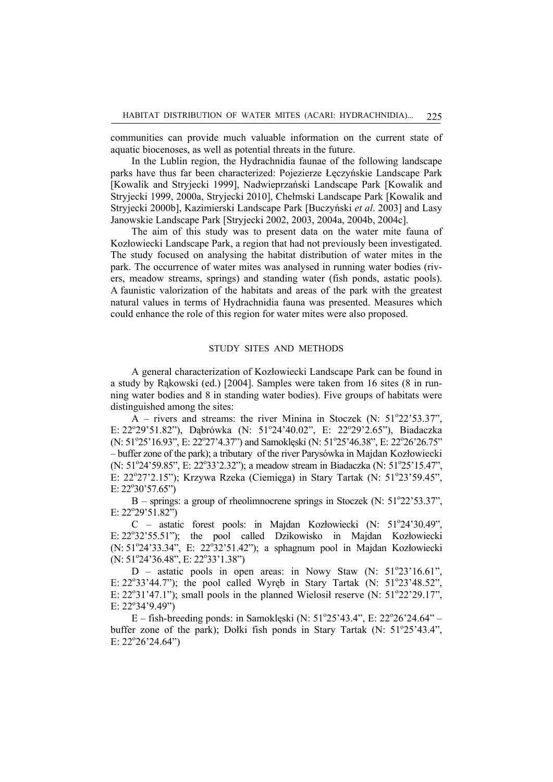communities can provide much valuable information on the current state of aquatic biocenoses, as well as potential threats in the future.

In the Lublin region, the Hydrachnidia faunae of the following landscape parks have thus far been characterized: Pojezierze Łęczyńskie Landscape Park [Kowalik and Stryjecki 1999], Nadwieprzański Landscape Park [Kowalik and Stryjecki 1999, 2000a, Stryjecki 2010], Chełmski Landscape Park [Kowalik and Stryjecki 2000b], Kazimierski Landscape Park [Buczyński *et al*. 2003] and Lasy Janowskie Landscape Park [Stryjecki 2002, 2003, 2004a, 2004b, 2004c].

The aim of this study was to present data on the water mite fauna of Kozłowiecki Landscape Park, a region that had not previously been investigated. The study focused on analysing the habitat distribution of water mites in the park. The occurrence of water mites was analysed in running water bodies (rivers, meadow streams, springs) and standing water (fish ponds, astatic pools). A faunistic valorization of the habitats and areas of the park with the greatest natural values in terms of Hydrachnidia fauna was presented. Measures which could enhance the role of this region for water mites were also proposed.

## STUDY SITES AND METHODS

A general characterization of Kozłowiecki Landscape Park can be found in a study by Rąkowski (ed.) [2004]. Samples were taken from 16 sites (8 in running water bodies and 8 in standing water bodies). Five groups of habitats were distinguished among the sites:

 $\overline{A}$  – rivers and streams: the river Minina in Stoczek (N: 51°22'53.37", E: 22°29'51.82"), Dąbrówka (N: 51°24'40.02", E: 22°29'2.65"), Biadaczka (N: 51°25'16.93", E: 22°27'4.37") and Samoklęski (N: 51°25'46.38", E: 22°26'26.75" – buffer zone of the park); a tributary of the river Parysówka in Majdan Kozłowiecki (N: 51°24'59.85", E: 22°33'2.32"); a meadow stream in Biadaczka (N: 51°25'15.47", E: 22°27'2.15"); Krzywa Rzeka (Ciemięga) in Stary Tartak (N: 51°23'59.45",  $E: 22^{\circ}30'57.65'$ 

 $B$  – springs: a group of rheolimnocrene springs in Stoczek (N:  $51^{\circ}22'53.37$ ", E:  $22^{\circ}29'51.82"$ 

C - astatic forest pools: in Majdan Kozłowiecki (N: 51°24'30.49", E: 22°32'55.51"); the pool called Dzikowisko in Majdan Kozłowiecki  $(N: 51°24'33.34"$ , E:  $22°32'51.42"$ ); a sphagnum pool in Majdan Kozłowiecki  $(N: 51^{\circ}24'36.48", E: 22^{\circ}33'1.38")$ 

 $D$  – astatic pools in open areas: in Nowy Staw (N:  $51^{\circ}23'16.61"$ , E:  $22^{\circ}33'44.7$ "); the pool called Wyręb in Stary Tartak (N:  $51^{\circ}23'48.52$ ", E:  $22^{\circ}31'47.1"$ ; small pools in the planned Wielosił reserve (N:  $51^{\circ}22'29.17"$ , E:  $22^{\circ}34^{\circ}9.49^{\circ}$ )

 $E$  – fish-breeding ponds: in Samoklęski (N: 51°25'43.4", E: 22°26'24.64" – buffer zone of the park); Dołki fish ponds in Stary Tartak (N:  $51^{\circ}25^{\circ}43.4$ ", E:  $22^{\circ}26'24.64"$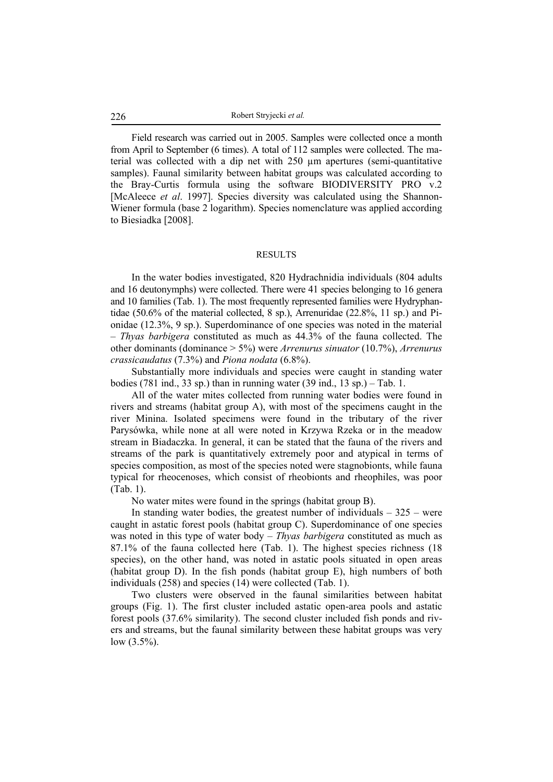Field research was carried out in 2005. Samples were collected once a month from April to September (6 times). A total of 112 samples were collected. The material was collected with a dip net with 250 µm apertures (semi-quantitative samples). Faunal similarity between habitat groups was calculated according to the Bray-Curtis formula using the software BIODIVERSITY PRO v.2 [McAleece *et al*. 1997]. Species diversity was calculated using the Shannon-Wiener formula (base 2 logarithm). Species nomenclature was applied according to Biesiadka [2008].

#### RESULTS

In the water bodies investigated, 820 Hydrachnidia individuals (804 adults and 16 deutonymphs) were collected. There were 41 species belonging to 16 genera and 10 families (Tab. 1). The most frequently represented families were Hydryphantidae (50.6% of the material collected, 8 sp.), Arrenuridae (22.8%, 11 sp.) and Pionidae (12.3%, 9 sp.). Superdominance of one species was noted in the material – *Thyas barbigera* constituted as much as 44.3% of the fauna collected. The other dominants (dominance > 5%) were *Arrenurus sinuator* (10.7%), *Arrenurus crassicaudatus* (7.3%) and *Piona nodata* (6.8%).

Substantially more individuals and species were caught in standing water bodies (781 ind., 33 sp.) than in running water (39 ind.,  $13$  sp.) – Tab. 1.

All of the water mites collected from running water bodies were found in rivers and streams (habitat group A), with most of the specimens caught in the river Minina. Isolated specimens were found in the tributary of the river Parysówka, while none at all were noted in Krzywa Rzeka or in the meadow stream in Biadaczka. In general, it can be stated that the fauna of the rivers and streams of the park is quantitatively extremely poor and atypical in terms of species composition, as most of the species noted were stagnobionts, while fauna typical for rheocenoses, which consist of rheobionts and rheophiles, was poor (Tab. 1).

No water mites were found in the springs (habitat group B).

In standing water bodies, the greatest number of individuals  $-325$  – were caught in astatic forest pools (habitat group C). Superdominance of one species was noted in this type of water body – *Thyas barbigera* constituted as much as 87.1% of the fauna collected here (Tab. 1). The highest species richness (18 species), on the other hand, was noted in astatic pools situated in open areas (habitat group D). In the fish ponds (habitat group E), high numbers of both individuals (258) and species (14) were collected (Tab. 1).

Two clusters were observed in the faunal similarities between habitat groups (Fig. 1). The first cluster included astatic open-area pools and astatic forest pools (37.6% similarity). The second cluster included fish ponds and rivers and streams, but the faunal similarity between these habitat groups was very low  $(3.5\%)$ .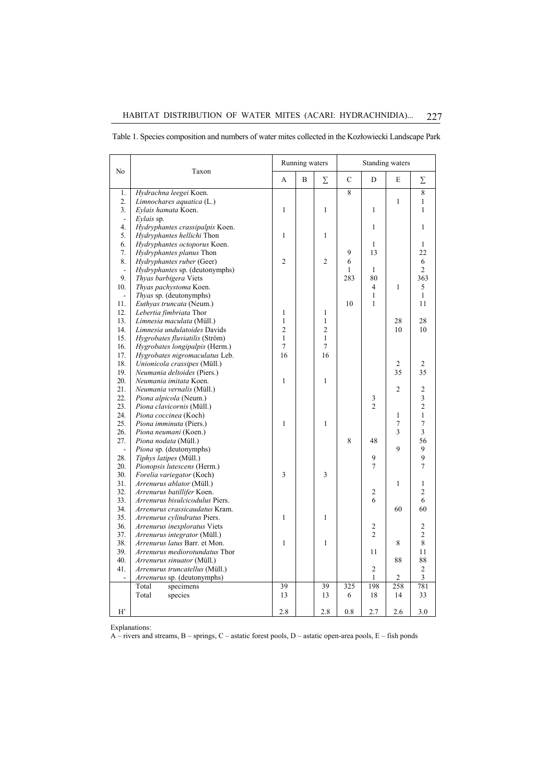| No               | Taxon                               |                | Running waters |                |                | Standing waters |                |                         |  |
|------------------|-------------------------------------|----------------|----------------|----------------|----------------|-----------------|----------------|-------------------------|--|
|                  |                                     | A              | B              | Σ              | $\mathbf C$    | D               | E              | Σ                       |  |
| 1.               | Hydrachna leegei Koen.              |                |                |                | $\overline{8}$ |                 |                | 8                       |  |
| $\overline{2}$ . | Limnochares aquatica (L.)           |                |                |                |                |                 | $\mathbf{1}$   | 1                       |  |
| 3.               | Eylais hamata Koen.                 | $\mathbf{1}$   |                | $\mathbf{1}$   |                | $\mathbf{1}$    |                | 1                       |  |
| $\blacksquare$   | Eylais sp.                          |                |                |                |                |                 |                |                         |  |
| 4.               | Hydryphantes crassipalpis Koen.     |                |                |                |                | 1               |                | $\mathbf{1}$            |  |
| 5.               | Hydryphantes hellichi Thon          | $\mathbf{1}$   |                | $\mathbf{1}$   |                |                 |                |                         |  |
| 6.               | Hydryphantes octoporus Koen.        |                |                |                |                | 1               |                | 1                       |  |
| 7.               | Hydryphantes planus Thon            |                |                |                | 9              | 13              |                | 22                      |  |
| 8.               | Hydryphantes ruber (Geer)           | $\overline{c}$ |                | $\overline{c}$ | 6              |                 |                | 6                       |  |
| $\blacksquare$   | Hydryphantes sp. (deutonymphs)      |                |                |                | 1              | $\mathbf{1}$    |                | $\overline{c}$          |  |
| 9.               | Thyas barbigera Viets               |                |                |                | 283            | 80              |                | 363                     |  |
| 10.              | Thyas pachystoma Koen.              |                |                |                |                | $\overline{4}$  | $\mathbf{1}$   | 5                       |  |
| $\blacksquare$   | <i>Thyas</i> sp. (deutonymphs)      |                |                |                |                | $\mathbf{1}$    |                | $\mathbf{1}$            |  |
| 11.              | Euthyas truncata (Neum.)            |                |                |                | 10             | $\mathbf{1}$    |                | 11                      |  |
| 12.              | Lebertia fimbriata Thor             | $\mathbf{1}$   |                | $\mathbf{1}$   |                |                 |                |                         |  |
| 13.              | Limnesia maculata (Müll.)           | $\mathbf{1}$   |                | $\mathbf{1}$   |                |                 | 28             | 28                      |  |
| 14.              | Limnesia undulatoides Davids        | $\overline{c}$ |                | $\overline{c}$ |                |                 | 10             | 10                      |  |
| 15.              | Hygrobates fluviatilis (Ström)      | $\mathbf{1}$   |                | $\mathbf{1}$   |                |                 |                |                         |  |
| 16.              | Hygrobates longipalpis (Herm.)      | 7              |                | 7              |                |                 |                |                         |  |
| 17.              | Hygrobates nigromaculatus Leb.      | 16             |                | 16             |                |                 |                |                         |  |
| 18.              | Unionicola crassipes (Müll.)        |                |                |                |                |                 | 2              | 2                       |  |
| 19.              | Neumania deltoides (Piers.)         |                |                |                |                |                 | 35             | 35                      |  |
| 20.              | Neumania imitata Koen.              | $\mathbf{1}$   |                | $\mathbf{1}$   |                |                 |                |                         |  |
| 21.              | <i>Neumania vernalis</i> (Müll.)    |                |                |                |                |                 | $\overline{c}$ | $\overline{c}$          |  |
| 22.              | Piona alpicola (Neum.)              |                |                |                |                | $\sqrt{3}$      |                | $\overline{\mathbf{3}}$ |  |
| 23.              | Piona clavicornis (Müll.)           |                |                |                |                | $\mathfrak{D}$  |                | $\overline{c}$          |  |
| 24.              | Piona coccinea (Koch)               |                |                |                |                |                 | $\mathbf{1}$   | $\mathbf{1}$            |  |
| 25.              | Piona imminuta (Piers.)             | $\mathbf{1}$   |                | $\mathbf{1}$   |                |                 | $\overline{7}$ | $\overline{7}$          |  |
| 26.              | Piona neumani (Koen.)               |                |                |                |                |                 | 3              | 3                       |  |
| 27.              | Piona nodata (Müll.)                |                |                |                | 8              | 48              |                | 56                      |  |
| $\blacksquare$   | Piona sp. (deutonymphs)             |                |                |                |                |                 | 9              | 9                       |  |
| 28.              | Tiphys latipes (Müll.)              |                |                |                |                | 9               |                | 9                       |  |
| 20.              | Pionopsis lutescens (Herm.)         |                |                |                |                | $\tau$          |                | 7                       |  |
| 30.              | Forelia variegator (Koch)           | 3              |                | 3              |                |                 |                |                         |  |
| 31.              | Arrenurus ablator (Müll.)           |                |                |                |                |                 | $\mathbf{1}$   | 1                       |  |
| 32.              | Arrenurus batillifer Koen.          |                |                |                |                | 2               |                | $\overline{c}$          |  |
| 33.              | Arrenurus bisulcicodulus Piers.     |                |                |                |                | 6               |                | 6                       |  |
| 34.              | Arrenurus crassicaudatus Kram.      |                |                |                |                |                 | 60             | 60                      |  |
| 35.              | Arrenurus cylindratus Piers.        | $\mathbf{1}$   |                | $\mathbf{1}$   |                |                 |                |                         |  |
| 36.              | Arrenurus inexploratus Viets        |                |                |                |                | 2               |                | $\mathfrak{2}$          |  |
| 37.              | <i>Arrenurus integrator</i> (Müll.) |                |                |                |                | $\overline{c}$  |                | $\overline{c}$          |  |
| 38.              | Arrenurus latus Barr. et Mon.       | $\mathbf{1}$   |                | 1              |                |                 | 8              | 8                       |  |
| 39.              | Arrenurus mediorotundatus Thor      |                |                |                |                | 11              |                | 11                      |  |
| 40.              | Arrenurus sinuator (Müll.)          |                |                |                |                |                 | 88             | 88                      |  |
| 41.              | Arrenurus truncatellus (Müll.)      |                |                |                |                | 2               |                | 2                       |  |
|                  | Arrenurus sp. (deutonymphs)         |                |                |                |                | 1               | $\overline{2}$ | 3                       |  |
|                  | Total<br>specimens                  | 39             |                | 39             | 325            | 198             | 258            | 781                     |  |
|                  | Total<br>species                    | 13             |                | 13             | 6              | 18              | 14             | 33                      |  |
|                  |                                     |                |                |                |                |                 |                |                         |  |
| $H^{\prime}$     |                                     | 2.8            |                | 2.8            | 0.8            | 2.7             | 2.6            | 3.0                     |  |

Table 1. Species composition and numbers of water mites collected in the Kozłowiecki Landscape Park

Explanations:

A – rivers and streams, B – springs, C – astatic forest pools, D – astatic open-area pools, E – fish ponds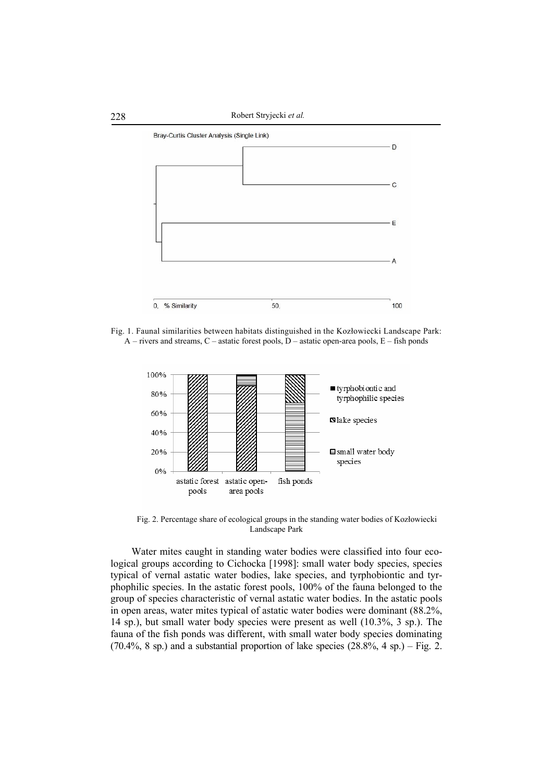

Fig. 1. Faunal similarities between habitats distinguished in the Kozłowiecki Landscape Park:  $A$  – rivers and streams, C – astatic forest pools, D – astatic open-area pools, E – fish ponds



Fig. 2. Percentage share of ecological groups in the standing water bodies of Kozłowiecki Landscape Park

Water mites caught in standing water bodies were classified into four ecological groups according to Cichocka [1998]: small water body species, species typical of vernal astatic water bodies, lake species, and tyrphobiontic and tyrphophilic species. In the astatic forest pools, 100% of the fauna belonged to the group of species characteristic of vernal astatic water bodies. In the astatic pools in open areas, water mites typical of astatic water bodies were dominant (88.2%, 14 sp.), but small water body species were present as well (10.3%, 3 sp.). The fauna of the fish ponds was different, with small water body species dominating  $(70.4\%$ , 8 sp.) and a substantial proportion of lake species  $(28.8\%$ , 4 sp.) – Fig. 2.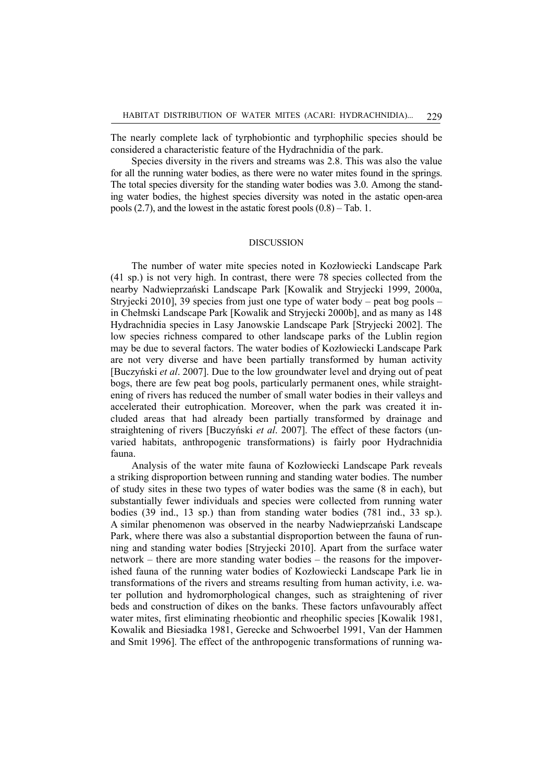The nearly complete lack of tyrphobiontic and tyrphophilic species should be considered a characteristic feature of the Hydrachnidia of the park.

Species diversity in the rivers and streams was 2.8. This was also the value for all the running water bodies, as there were no water mites found in the springs. The total species diversity for the standing water bodies was 3.0. Among the standing water bodies, the highest species diversity was noted in the astatic open-area pools (2.7), and the lowest in the astatic forest pools (0.8) – Tab. 1.

## DISCUSSION

The number of water mite species noted in Kozłowiecki Landscape Park (41 sp.) is not very high. In contrast, there were 78 species collected from the nearby Nadwieprzański Landscape Park [Kowalik and Stryjecki 1999, 2000a, Stryjecki 2010], 39 species from just one type of water body – peat bog pools – in Chełmski Landscape Park [Kowalik and Stryjecki 2000b], and as many as 148 Hydrachnidia species in Lasy Janowskie Landscape Park [Stryjecki 2002]. The low species richness compared to other landscape parks of the Lublin region may be due to several factors. The water bodies of Kozłowiecki Landscape Park are not very diverse and have been partially transformed by human activity [Buczyński *et al*. 2007]. Due to the low groundwater level and drying out of peat bogs, there are few peat bog pools, particularly permanent ones, while straightening of rivers has reduced the number of small water bodies in their valleys and accelerated their eutrophication. Moreover, when the park was created it included areas that had already been partially transformed by drainage and straightening of rivers [Buczyński *et al*. 2007]. The effect of these factors (unvaried habitats, anthropogenic transformations) is fairly poor Hydrachnidia fauna.

Analysis of the water mite fauna of Kozłowiecki Landscape Park reveals a striking disproportion between running and standing water bodies. The number of study sites in these two types of water bodies was the same (8 in each), but substantially fewer individuals and species were collected from running water bodies (39 ind., 13 sp.) than from standing water bodies (781 ind., 33 sp.). A similar phenomenon was observed in the nearby Nadwieprzański Landscape Park, where there was also a substantial disproportion between the fauna of running and standing water bodies [Stryjecki 2010]. Apart from the surface water network – there are more standing water bodies – the reasons for the impoverished fauna of the running water bodies of Kozłowiecki Landscape Park lie in transformations of the rivers and streams resulting from human activity, i.e. water pollution and hydromorphological changes, such as straightening of river beds and construction of dikes on the banks. These factors unfavourably affect water mites, first eliminating rheobiontic and rheophilic species [Kowalik 1981, Kowalik and Biesiadka 1981, Gerecke and Schwoerbel 1991, Van der Hammen and Smit 1996]. The effect of the anthropogenic transformations of running wa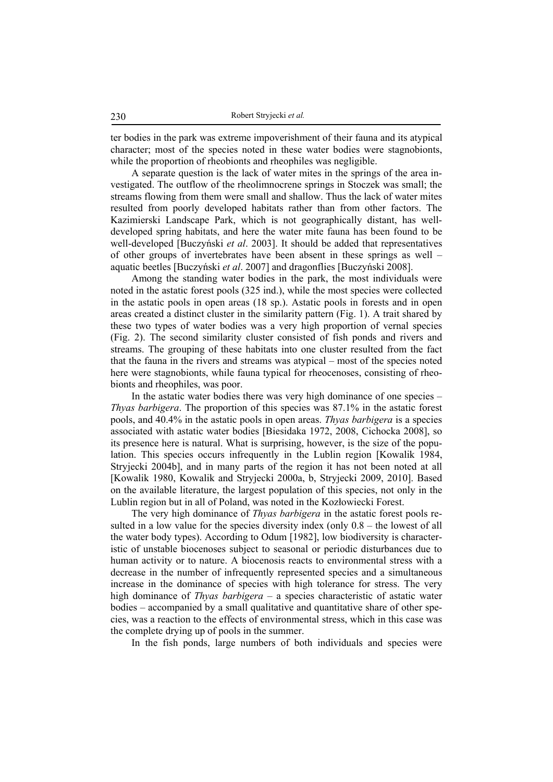ter bodies in the park was extreme impoverishment of their fauna and its atypical character; most of the species noted in these water bodies were stagnobionts, while the proportion of rheobionts and rheophiles was negligible.

A separate question is the lack of water mites in the springs of the area investigated. The outflow of the rheolimnocrene springs in Stoczek was small; the streams flowing from them were small and shallow. Thus the lack of water mites resulted from poorly developed habitats rather than from other factors. The Kazimierski Landscape Park, which is not geographically distant, has welldeveloped spring habitats, and here the water mite fauna has been found to be well-developed [Buczyński *et al*. 2003]. It should be added that representatives of other groups of invertebrates have been absent in these springs as well – aquatic beetles [Buczyński *et al*. 2007] and dragonflies [Buczyński 2008].

Among the standing water bodies in the park, the most individuals were noted in the astatic forest pools (325 ind.), while the most species were collected in the astatic pools in open areas (18 sp.). Astatic pools in forests and in open areas created a distinct cluster in the similarity pattern (Fig. 1). A trait shared by these two types of water bodies was a very high proportion of vernal species (Fig. 2). The second similarity cluster consisted of fish ponds and rivers and streams. The grouping of these habitats into one cluster resulted from the fact that the fauna in the rivers and streams was atypical – most of the species noted here were stagnobionts, while fauna typical for rheocenoses, consisting of rheobionts and rheophiles, was poor.

In the astatic water bodies there was very high dominance of one species – *Thyas barbigera*. The proportion of this species was 87.1% in the astatic forest pools, and 40.4% in the astatic pools in open areas. *Thyas barbigera* is a species associated with astatic water bodies [Biesidaka 1972, 2008, Cichocka 2008], so its presence here is natural. What is surprising, however, is the size of the population. This species occurs infrequently in the Lublin region [Kowalik 1984, Stryjecki 2004b], and in many parts of the region it has not been noted at all [Kowalik 1980, Kowalik and Stryjecki 2000a, b, Stryjecki 2009, 2010]. Based on the available literature, the largest population of this species, not only in the Lublin region but in all of Poland, was noted in the Kozłowiecki Forest.

The very high dominance of *Thyas barbigera* in the astatic forest pools resulted in a low value for the species diversity index (only 0.8 – the lowest of all the water body types). According to Odum [1982], low biodiversity is characteristic of unstable biocenoses subject to seasonal or periodic disturbances due to human activity or to nature. A biocenosis reacts to environmental stress with a decrease in the number of infrequently represented species and a simultaneous increase in the dominance of species with high tolerance for stress. The very high dominance of *Thyas barbigera* – a species characteristic of astatic water bodies – accompanied by a small qualitative and quantitative share of other species, was a reaction to the effects of environmental stress, which in this case was the complete drying up of pools in the summer.

In the fish ponds, large numbers of both individuals and species were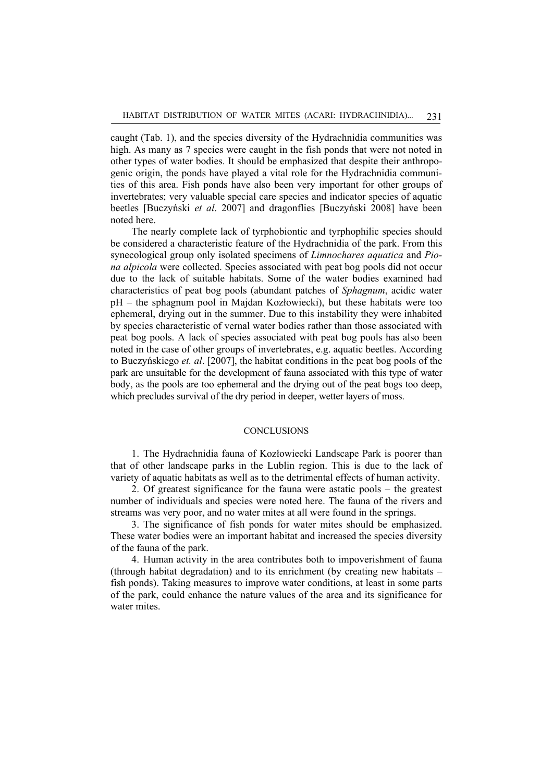caught (Tab. 1), and the species diversity of the Hydrachnidia communities was high. As many as 7 species were caught in the fish ponds that were not noted in other types of water bodies. It should be emphasized that despite their anthropogenic origin, the ponds have played a vital role for the Hydrachnidia communities of this area. Fish ponds have also been very important for other groups of invertebrates; very valuable special care species and indicator species of aquatic beetles [Buczyński *et al*. 2007] and dragonflies [Buczyński 2008] have been noted here.

The nearly complete lack of tyrphobiontic and tyrphophilic species should be considered a characteristic feature of the Hydrachnidia of the park. From this synecological group only isolated specimens of *Limnochares aquatica* and *Piona alpicola* were collected. Species associated with peat bog pools did not occur due to the lack of suitable habitats. Some of the water bodies examined had characteristics of peat bog pools (abundant patches of *Sphagnum*, acidic water pH – the sphagnum pool in Majdan Kozłowiecki), but these habitats were too ephemeral, drying out in the summer. Due to this instability they were inhabited by species characteristic of vernal water bodies rather than those associated with peat bog pools. A lack of species associated with peat bog pools has also been noted in the case of other groups of invertebrates, e.g. aquatic beetles. According to Buczyńskiego *et. al*. [2007], the habitat conditions in the peat bog pools of the park are unsuitable for the development of fauna associated with this type of water body, as the pools are too ephemeral and the drying out of the peat bogs too deep, which precludes survival of the dry period in deeper, wetter layers of moss.

## **CONCLUSIONS**

1. The Hydrachnidia fauna of Kozłowiecki Landscape Park is poorer than that of other landscape parks in the Lublin region. This is due to the lack of variety of aquatic habitats as well as to the detrimental effects of human activity.

2. Of greatest significance for the fauna were astatic pools – the greatest number of individuals and species were noted here. The fauna of the rivers and streams was very poor, and no water mites at all were found in the springs.

3. The significance of fish ponds for water mites should be emphasized. These water bodies were an important habitat and increased the species diversity of the fauna of the park.

4. Human activity in the area contributes both to impoverishment of fauna (through habitat degradation) and to its enrichment (by creating new habitats – fish ponds). Taking measures to improve water conditions, at least in some parts of the park, could enhance the nature values of the area and its significance for water mites.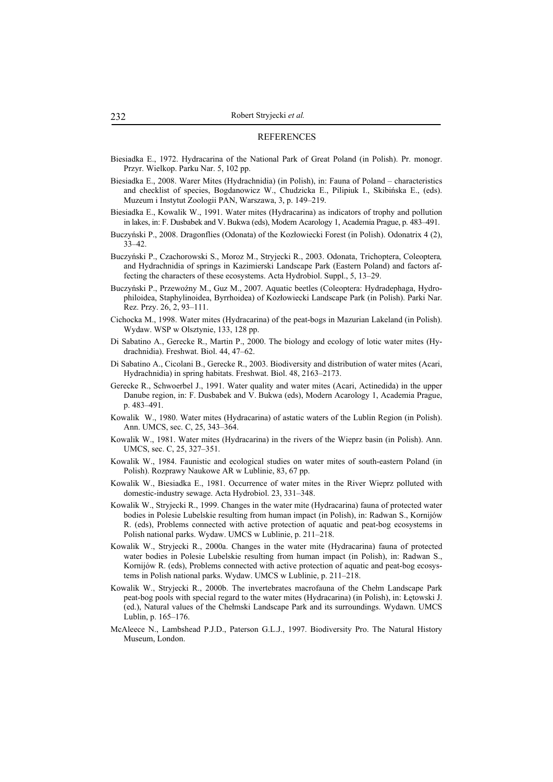#### **REFERENCES**

- Biesiadka E., 1972. Hydracarina of the National Park of Great Poland (in Polish). Pr. monogr. Przyr. Wielkop. Parku Nar. 5, 102 pp.
- Biesiadka E., 2008. Warer Mites (Hydrachnidia) (in Polish), in: Fauna of Poland characteristics and checklist of species, Bogdanowicz W., Chudzicka E., Pilipiuk I., Skibińska E., (eds). Muzeum i Instytut Zoologii PAN, Warszawa, 3, p. 149–219.
- Biesiadka E., Kowalik W., 1991. Water mites (Hydracarina) as indicators of trophy and pollution in lakes, in: F. Dusbabek and V. Bukwa (eds), Modern Acarology 1, Academia Prague, p. 483–491.
- Buczyński P., 2008. Dragonflies (Odonata) of the Kozłowiecki Forest (in Polish). Odonatrix 4 (2), 33–42.
- Buczyński P., Czachorowski S., Moroz M., Stryjecki R., 2003. Odonata, Trichoptera, Coleoptera*,*  and Hydrachnidia of springs in Kazimierski Landscape Park (Eastern Poland) and factors affecting the characters of these ecosystems. Acta Hydrobiol. Suppl., 5, 13–29.
- Buczyński P., Przewoźny M., Guz M., 2007. Aquatic beetles (Coleoptera: Hydradephaga, Hydrophiloidea, Staphylinoidea, Byrrhoidea) of Kozłowiecki Landscape Park (in Polish). Parki Nar. Rez. Przy. 26, 2, 93–111.
- Cichocka M., 1998. Water mites (Hydracarina) of the peat-bogs in Mazurian Lakeland (in Polish). Wydaw. WSP w Olsztynie, 133, 128 pp.
- Di Sabatino A., Gerecke R., Martin P., 2000. The biology and ecology of lotic water mites (Hydrachnidia). Freshwat. Biol. 44, 47–62.
- Di Sabatino A., Cicolani B., Gerecke R., 2003. Biodiversity and distribution of water mites (Acari, Hydrachnidia) in spring habitats. Freshwat. Biol. 48, 2163–2173.
- Gerecke R., Schwoerbel J., 1991. Water quality and water mites (Acari, Actinedida) in the upper Danube region, in: F. Dusbabek and V. Bukwa (eds), Modern Acarology 1, Academia Prague, p. 483–491.
- Kowalik W., 1980. Water mites (Hydracarina) of astatic waters of the Lublin Region (in Polish). Ann. UMCS, sec. C, 25, 343–364.
- Kowalik W., 1981. Water mites (Hydracarina) in the rivers of the Wieprz basin (in Polish). Ann. UMCS, sec. C, 25, 327–351.
- Kowalik W., 1984. Faunistic and ecological studies on water mites of south-eastern Poland (in Polish). Rozprawy Naukowe AR w Lublinie, 83, 67 pp.
- Kowalik W., Biesiadka E., 1981. Occurrence of water mites in the River Wieprz polluted with domestic-industry sewage. Acta Hydrobiol. 23, 331–348.
- Kowalik W., Stryjecki R., 1999. Changes in the water mite (Hydracarina) fauna of protected water bodies in Polesie Lubelskie resulting from human impact (in Polish), in: Radwan S., Kornijów R. (eds), Problems connected with active protection of aquatic and peat-bog ecosystems in Polish national parks. Wydaw. UMCS w Lublinie, p. 211–218.
- Kowalik W., Stryjecki R., 2000a. Changes in the water mite (Hydracarina) fauna of protected water bodies in Polesie Lubelskie resulting from human impact (in Polish), in: Radwan S., Kornijów R. (eds), Problems connected with active protection of aquatic and peat-bog ecosystems in Polish national parks. Wydaw. UMCS w Lublinie, p. 211–218.
- Kowalik W., Stryjecki R., 2000b. The invertebrates macrofauna of the Chełm Landscape Park peat-bog pools with special regard to the water mites (Hydracarina) (in Polish), in: Letowski J. (ed.), Natural values of the Chełmski Landscape Park and its surroundings. Wydawn. UMCS Lublin, p. 165–176.
- McAleece N., Lambshead P.J.D., Paterson G.L.J., 1997. Biodiversity Pro. The Natural History Museum, London.